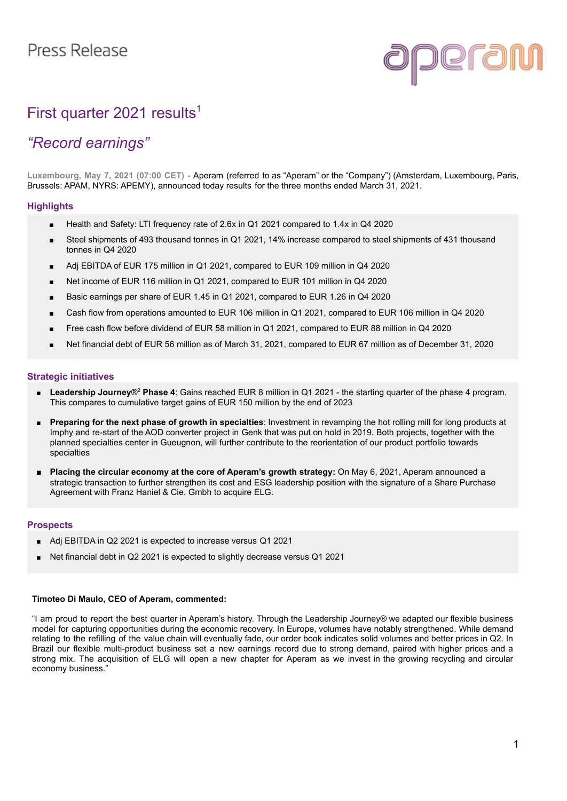

# First quarter 2021 results<sup>1</sup>

## *"Record earnings"*

**Luxembourg, May 7, 2021 (07:00 CET) -** Aperam (referred to as "Aperam" or the "Company") (Amsterdam, Luxembourg, Paris, Brussels: APAM, NYRS: APEMY), announced today results for the three months ended March 31, 2021.

#### **Highlights**

- Health and Safety: LTI frequency rate of 2.6x in Q1 2021 compared to 1.4x in Q4 2020
- Steel shipments of 493 thousand tonnes in Q1 2021, 14% increase compared to steel shipments of 431 thousand tonnes in Q4 2020
- Adj EBITDA of EUR 175 million in Q1 2021, compared to EUR 109 million in Q4 2020
- Net income of EUR 116 million in Q1 2021, compared to EUR 101 million in Q4 2020
- Basic earnings per share of EUR 1.45 in Q1 2021, compared to EUR 1.26 in Q4 2020
- Cash flow from operations amounted to EUR 106 million in Q1 2021, compared to EUR 106 million in Q4 2020
- Free cash flow before dividend of EUR 58 million in Q1 2021, compared to EUR 88 million in Q4 2020
- Net financial debt of EUR 56 million as of March 31, 2021, compared to EUR 67 million as of December 31, 2020

#### **Strategic initiatives**

- Leadership Journey<sup>®</sup> Phase 4: Gains reached EUR 8 million in Q1 2021 the starting quarter of the phase 4 program. This compares to cumulative target gains of EUR 150 million by the end of 2023
- **Preparing for the next phase of growth in specialties**: Investment in revamping the hot rolling mill for long products at Imphy and re-start of the AOD converter project in Genk that was put on hold in 2019. Both projects, together with the planned specialties center in Gueugnon, will further contribute to the reorientation of our product portfolio towards specialties
- **Placing the circular economy at the core of Aperam's growth strategy:** On May 6, 2021, Aperam announced a strategic transaction to further strengthen its cost and ESG leadership position with the signature of a Share Purchase Agreement with Franz Haniel & Cie. Gmbh to acquire ELG.

#### **Prospects**

- Adj EBITDA in Q2 2021 is expected to increase versus Q1 2021
- Net financial debt in Q2 2021 is expected to slightly decrease versus Q1 2021

#### **Timoteo Di Maulo, CEO of Aperam, commented:**

"I am proud to report the best quarter in Aperam's history. Through the Leadership Journey® we adapted our flexible business model for capturing opportunities during the economic recovery. In Europe, volumes have notably strengthened. While demand relating to the refilling of the value chain will eventually fade, our order book indicates solid volumes and better prices in Q2. In Brazil our flexible multi-product business set a new earnings record due to strong demand, paired with higher prices and a strong mix. The acquisition of ELG will open a new chapter for Aperam as we invest in the growing recycling and circular economy business."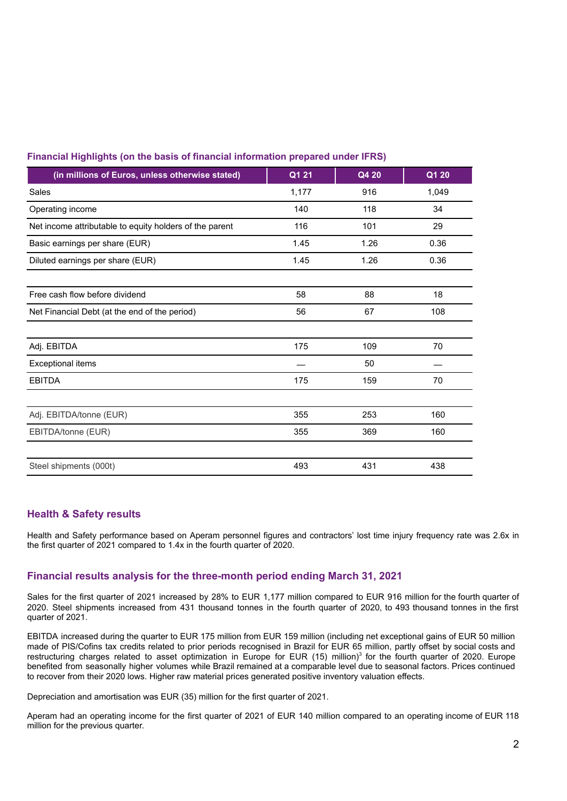| (in millions of Euros, unless otherwise stated)         | Q1 21 | Q4 20 | Q1 20 |
|---------------------------------------------------------|-------|-------|-------|
| Sales                                                   | 1,177 | 916   | 1,049 |
| Operating income                                        | 140   | 118   | 34    |
| Net income attributable to equity holders of the parent | 116   | 101   | 29    |
| Basic earnings per share (EUR)                          | 1.45  | 1.26  | 0.36  |
| Diluted earnings per share (EUR)                        | 1.45  | 1.26  | 0.36  |
|                                                         |       |       |       |
| Free cash flow before dividend                          | 58    | 88    | 18    |
| Net Financial Debt (at the end of the period)           | 56    | 67    | 108   |
|                                                         |       |       |       |
| Adj. EBITDA                                             | 175   | 109   | 70    |
| Exceptional items                                       |       | 50    |       |
| <b>EBITDA</b>                                           | 175   | 159   | 70    |
|                                                         |       |       |       |
| Adj. EBITDA/tonne (EUR)                                 | 355   | 253   | 160   |
| EBITDA/tonne (EUR)                                      | 355   | 369   | 160   |
|                                                         |       |       |       |
| Steel shipments (000t)                                  | 493   | 431   | 438   |

#### **Financial Highlights (on the basis of financial information prepared under IFRS)**

#### **Health & Safety results**

Health and Safety performance based on Aperam personnel figures and contractors' lost time injury frequency rate was 2.6x in the first quarter of 2021 compared to 1.4x in the fourth quarter of 2020.

### **Financial results analysis for the three-month period ending March 31, 2021**

Sales for the first quarter of 2021 increased by 28% to EUR 1,177 million compared to EUR 916 million for the fourth quarter of 2020. Steel shipments increased from 431 thousand tonnes in the fourth quarter of 2020, to 493 thousand tonnes in the first quarter of 2021.

EBITDA increased during the quarter to EUR 175 million from EUR 159 million (including net exceptional gains of EUR 50 million made of PIS/Cofins tax credits related to prior periods recognised in Brazil for EUR 65 million, partly offset by social costs and restructuring charges related to asset optimization in Europe for EUR (15) million)<sup>3</sup> for the fourth quarter of 2020. Europe benefited from seasonally higher volumes while Brazil remained at a comparable level due to seasonal factors. Prices continued to recover from their 2020 lows. Higher raw material prices generated positive inventory valuation effects.

Depreciation and amortisation was EUR (35) million for the first quarter of 2021.

Aperam had an operating income for the first quarter of 2021 of EUR 140 million compared to an operating income of EUR 118 million for the previous quarter.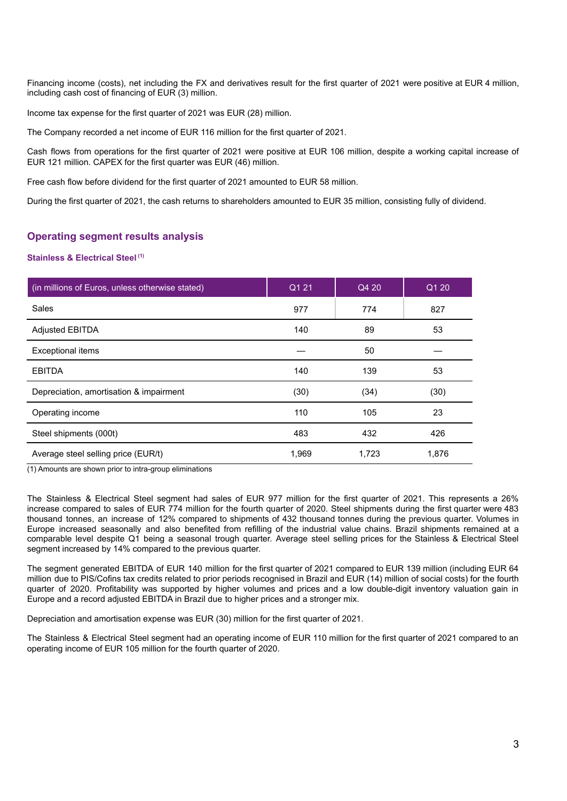Financing income (costs), net including the FX and derivatives result for the first quarter of 2021 were positive at EUR 4 million, including cash cost of financing of EUR (3) million.

Income tax expense for the first quarter of 2021 was EUR (28) million.

The Company recorded a net income of EUR 116 million for the first quarter of 2021.

Cash flows from operations for the first quarter of 2021 were positive at EUR 106 million, despite a working capital increase of EUR 121 million. CAPEX for the first quarter was EUR (46) million.

Free cash flow before dividend for the first quarter of 2021 amounted to EUR 58 million.

During the first quarter of 2021, the cash returns to shareholders amounted to EUR 35 million, consisting fully of dividend.

#### **Operating segment results analysis**

#### **Stainless & Electrical Steel (1)**

| (in millions of Euros, unless otherwise stated) | Q1 21 | Q4 20 | $Q1$ 20 |
|-------------------------------------------------|-------|-------|---------|
| Sales                                           | 977   | 774   | 827     |
| <b>Adjusted EBITDA</b>                          | 140   | 89    | 53      |
| Exceptional items                               |       | 50    |         |
| <b>EBITDA</b>                                   | 140   | 139   | 53      |
| Depreciation, amortisation & impairment         | (30)  | (34)  | (30)    |
| Operating income                                | 110   | 105   | 23      |
| Steel shipments (000t)                          | 483   | 432   | 426     |
| Average steel selling price (EUR/t)             | 1,969 | 1,723 | 1,876   |

(1) Amounts are shown prior to intra-group eliminations

The Stainless & Electrical Steel segment had sales of EUR 977 million for the first quarter of 2021. This represents a 26% increase compared to sales of EUR 774 million for the fourth quarter of 2020. Steel shipments during the first quarter were 483 thousand tonnes, an increase of 12% compared to shipments of 432 thousand tonnes during the previous quarter. Volumes in Europe increased seasonally and also benefited from refilling of the industrial value chains. Brazil shipments remained at a comparable level despite Q1 being a seasonal trough quarter. Average steel selling prices for the Stainless & Electrical Steel segment increased by 14% compared to the previous quarter.

The segment generated EBITDA of EUR 140 million for the first quarter of 2021 compared to EUR 139 million (including EUR 64 million due to PIS/Cofins tax credits related to prior periods recognised in Brazil and EUR (14) million of social costs) for the fourth quarter of 2020. Profitability was supported by higher volumes and prices and a low double-digit inventory valuation gain in Europe and a record adjusted EBITDA in Brazil due to higher prices and a stronger mix.

Depreciation and amortisation expense was EUR (30) million for the first quarter of 2021.

The Stainless & Electrical Steel segment had an operating income of EUR 110 million for the first quarter of 2021 compared to an operating income of EUR 105 million for the fourth quarter of 2020.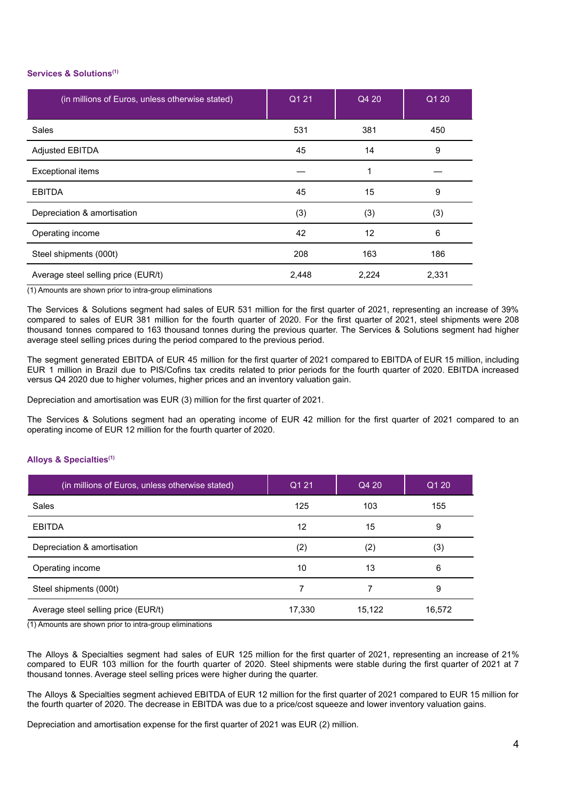#### **Services & Solutions(1)**

| (in millions of Euros, unless otherwise stated) | Q1 21 | Q4 20 | Q1 20 |
|-------------------------------------------------|-------|-------|-------|
| <b>Sales</b>                                    | 531   | 381   | 450   |
| <b>Adjusted EBITDA</b>                          | 45    | 14    | 9     |
| Exceptional items                               |       | 1     |       |
| <b>EBITDA</b>                                   | 45    | 15    | 9     |
| Depreciation & amortisation                     | (3)   | (3)   | (3)   |
| Operating income                                | 42    | 12    | 6     |
| Steel shipments (000t)                          | 208   | 163   | 186   |
| Average steel selling price (EUR/t)             | 2,448 | 2,224 | 2,331 |

(1) Amounts are shown prior to intra-group eliminations

The Services & Solutions segment had sales of EUR 531 million for the first quarter of 2021, representing an increase of 39% compared to sales of EUR 381 million for the fourth quarter of 2020. For the first quarter of 2021, steel shipments were 208 thousand tonnes compared to 163 thousand tonnes during the previous quarter. The Services & Solutions segment had higher average steel selling prices during the period compared to the previous period.

The segment generated EBITDA of EUR 45 million for the first quarter of 2021 compared to EBITDA of EUR 15 million, including EUR 1 million in Brazil due to PIS/Cofins tax credits related to prior periods for the fourth quarter of 2020. EBITDA increased versus Q4 2020 due to higher volumes, higher prices and an inventory valuation gain.

Depreciation and amortisation was EUR (3) million for the first quarter of 2021.

The Services & Solutions segment had an operating income of EUR 42 million for the first quarter of 2021 compared to an operating income of EUR 12 million for the fourth quarter of 2020.

#### **Alloys & Specialties(1)**

| (in millions of Euros, unless otherwise stated) | Q1 21  | Q4 20             | $Q1$ 20 |
|-------------------------------------------------|--------|-------------------|---------|
| Sales                                           | 125    | 103               | 155     |
| <b>EBITDA</b>                                   | 12     | 15                | 9       |
| Depreciation & amortisation                     | (2)    | $\left( 2\right)$ | (3)     |
| Operating income                                | 10     | 13                | 6       |
| Steel shipments (000t)                          |        |                   | 9       |
| Average steel selling price (EUR/t)             | 17,330 | 15,122            | 16,572  |

(1) Amounts are shown prior to intra-group eliminations

The Alloys & Specialties segment had sales of EUR 125 million for the first quarter of 2021, representing an increase of 21% compared to EUR 103 million for the fourth quarter of 2020. Steel shipments were stable during the first quarter of 2021 at 7 thousand tonnes. Average steel selling prices were higher during the quarter.

The Alloys & Specialties segment achieved EBITDA of EUR 12 million for the first quarter of 2021 compared to EUR 15 million for the fourth quarter of 2020. The decrease in EBITDA was due to a price/cost squeeze and lower inventory valuation gains.

Depreciation and amortisation expense for the first quarter of 2021 was EUR (2) million.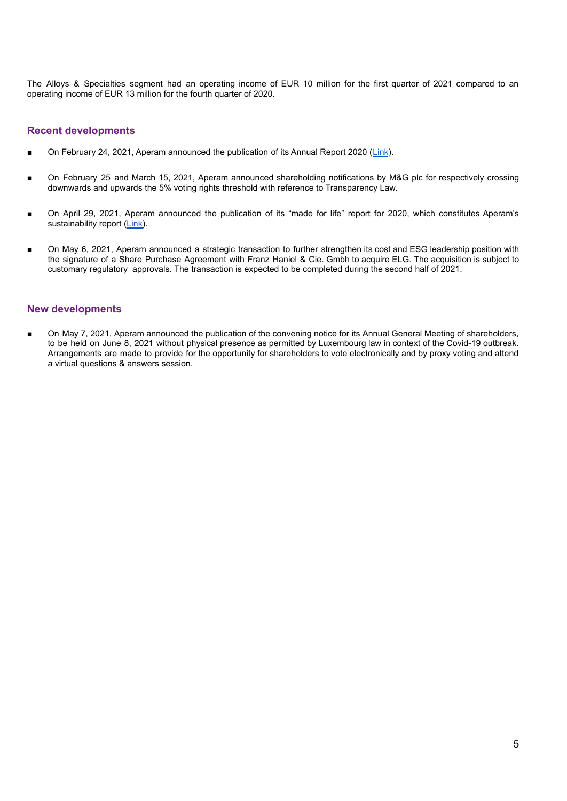The Alloys & Specialties segment had an operating income of EUR 10 million for the first quarter of 2021 compared to an operating income of EUR 13 million for the fourth quarter of 2020.

#### **Recent developments**

- On February 24, 2021, Aperam announced the publication of its Annual Report 2020 ([Link](https://www.aperam.com/sites/default/files/documents/Annual%20Report%202020.pdf)).
- On February 25 and March 15, 2021, Aperam announced shareholding notifications by M&G plc for respectively crossing downwards and upwards the 5% voting rights threshold with reference to Transparency Law.
- On April 29, 2021, Aperam announced the publication of its "made for life" report for 2020, which constitutes Aperam's sustainability report [\(Link\)](https://www.aperam.com/sites/default/files/documents/2020_AperamMadeforLifeReport_Main.pdf).
- On May 6, 2021, Aperam announced a strategic transaction to further strengthen its cost and ESG leadership position with the signature of a Share Purchase Agreement with Franz Haniel & Cie. Gmbh to acquire ELG. The acquisition is subject to customary regulatory approvals. The transaction is expected to be completed during the second half of 2021.

#### **New developments**

On May 7, 2021, Aperam announced the publication of the convening notice for its Annual General Meeting of shareholders, to be held on June 8, 2021 without physical presence as permitted by Luxembourg law in context of the Covid-19 outbreak. Arrangements are made to provide for the opportunity for shareholders to vote electronically and by proxy voting and attend a virtual questions & answers session.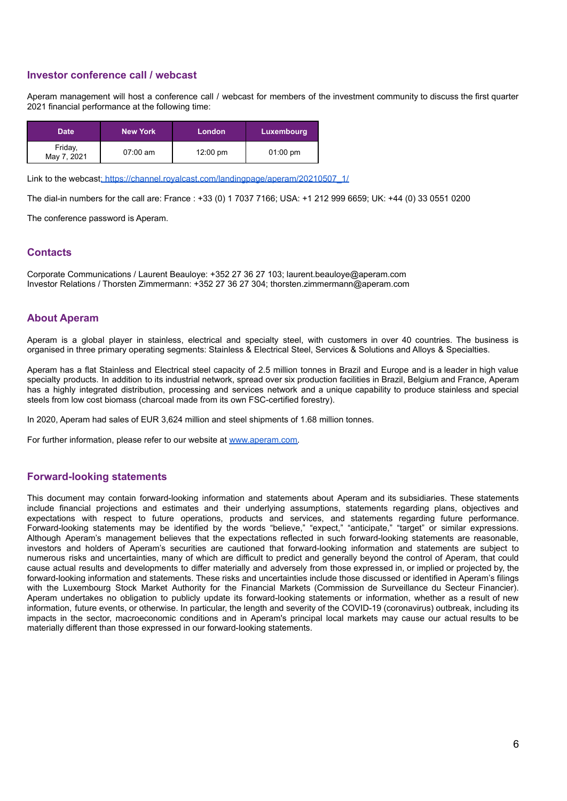#### **Investor conference call / webcast**

Aperam management will host a conference call / webcast for members of the investment community to discuss the first quarter 2021 financial performance at the following time:

| <b>Date</b>            | <b>New York</b> | London             | Luxembourg         |
|------------------------|-----------------|--------------------|--------------------|
| Friday,<br>May 7, 2021 | $07:00$ am      | $12:00 \text{ pm}$ | $01:00 \text{ pm}$ |

Link to the webcast: [https://channel.royalcast.com/landingpage/aperam/20210507\\_1/](https://channel.royalcast.com/landingpage/aperam/20210507_1/)

The dial-in numbers for the call are: France : +33 (0) 1 7037 7166; USA: +1 212 999 6659; UK: +44 (0) 33 0551 0200

The conference password is Aperam.

#### **Contacts**

Corporate Communications / Laurent Beauloye: +352 27 36 27 103; laurent.beauloye@aperam.com Investor Relations / Thorsten Zimmermann: +352 27 36 27 304; thorsten.zimmermann@aperam.com

#### **About Aperam**

Aperam is a global player in stainless, electrical and specialty steel, with customers in over 40 countries. The business is organised in three primary operating segments: Stainless & Electrical Steel, Services & Solutions and Alloys & Specialties.

Aperam has a flat Stainless and Electrical steel capacity of 2.5 million tonnes in Brazil and Europe and is a leader in high value specialty products. In addition to its industrial network, spread over six production facilities in Brazil, Belgium and France, Aperam has a highly integrated distribution, processing and services network and a unique capability to produce stainless and special steels from low cost biomass (charcoal made from its own FSC-certified forestry).

In 2020, Aperam had sales of EUR 3,624 million and steel shipments of 1.68 million tonnes.

For further information, please refer to our website at [www.aperam.com.](http://www.aperam.com)

#### **Forward-looking statements**

This document may contain forward-looking information and statements about Aperam and its subsidiaries. These statements include financial projections and estimates and their underlying assumptions, statements regarding plans, objectives and expectations with respect to future operations, products and services, and statements regarding future performance. Forward-looking statements may be identified by the words "believe," "expect," "anticipate," "target" or similar expressions. Although Aperam's management believes that the expectations reflected in such forward-looking statements are reasonable, investors and holders of Aperam's securities are cautioned that forward-looking information and statements are subject to numerous risks and uncertainties, many of which are difficult to predict and generally beyond the control of Aperam, that could cause actual results and developments to differ materially and adversely from those expressed in, or implied or projected by, the forward-looking information and statements. These risks and uncertainties include those discussed or identified in Aperam's filings with the Luxembourg Stock Market Authority for the Financial Markets (Commission de Surveillance du Secteur Financier). Aperam undertakes no obligation to publicly update its forward-looking statements or information, whether as a result of new information, future events, or otherwise. In particular, the length and severity of the COVID-19 (coronavirus) outbreak, including its impacts in the sector, macroeconomic conditions and in Aperam's principal local markets may cause our actual results to be materially different than those expressed in our forward-looking statements.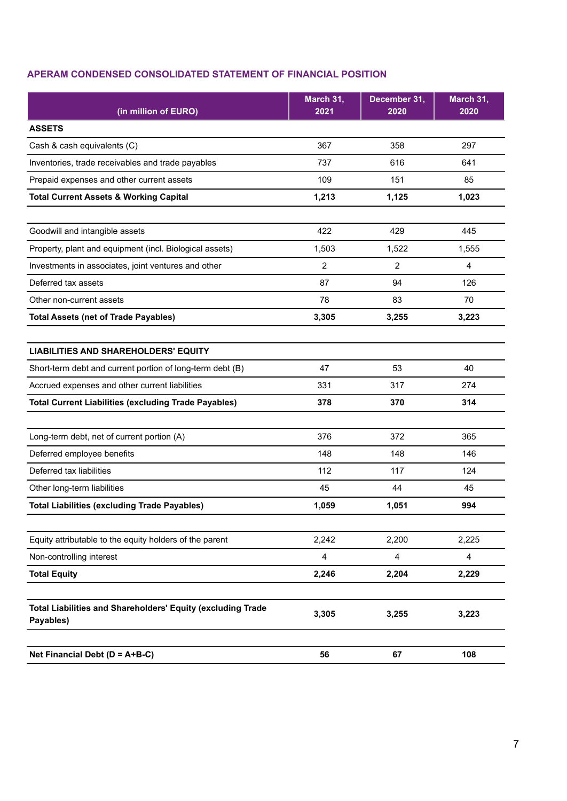## **APERAM CONDENSED CONSOLIDATED STATEMENT OF FINANCIAL POSITION**

| (in million of EURO)                                                     | March 31,<br>2021 | December 31,<br>2020 | March 31,<br>2020 |
|--------------------------------------------------------------------------|-------------------|----------------------|-------------------|
| <b>ASSETS</b>                                                            |                   |                      |                   |
| Cash & cash equivalents (C)                                              | 367               | 358                  | 297               |
| Inventories, trade receivables and trade payables                        | 737               | 616                  | 641               |
| Prepaid expenses and other current assets                                | 109               | 151                  | 85                |
| <b>Total Current Assets &amp; Working Capital</b>                        | 1,213             | 1,125                | 1,023             |
|                                                                          |                   |                      |                   |
| Goodwill and intangible assets                                           | 422               | 429                  | 445               |
| Property, plant and equipment (incl. Biological assets)                  | 1,503             | 1,522                | 1,555             |
| Investments in associates, joint ventures and other                      | $\overline{2}$    | 2                    | $\overline{4}$    |
| Deferred tax assets                                                      | 87                | 94                   | 126               |
| Other non-current assets                                                 | 78                | 83                   | 70                |
| <b>Total Assets (net of Trade Payables)</b>                              | 3,305             | 3,255                | 3,223             |
|                                                                          |                   |                      |                   |
| <b>LIABILITIES AND SHAREHOLDERS' EQUITY</b>                              |                   |                      |                   |
| Short-term debt and current portion of long-term debt (B)                | 47                | 53                   | 40                |
| Accrued expenses and other current liabilities                           | 331               | 317                  | 274               |
| <b>Total Current Liabilities (excluding Trade Payables)</b>              | 378               | 370                  | 314               |
|                                                                          |                   |                      |                   |
| Long-term debt, net of current portion (A)                               | 376               | 372                  | 365               |
| Deferred employee benefits                                               | 148               | 148                  | 146               |
| Deferred tax liabilities                                                 | 112               | 117                  | 124               |
| Other long-term liabilities                                              | 45                | 44                   | 45                |
| <b>Total Liabilities (excluding Trade Payables)</b>                      | 1,059             | 1,051                | 994               |
|                                                                          |                   |                      |                   |
| Equity attributable to the equity holders of the parent                  | 2,242             | 2,200                | 2,225             |
| Non-controlling interest                                                 | 4                 | 4                    | 4                 |
| <b>Total Equity</b>                                                      | 2,246             | 2,204                | 2,229             |
|                                                                          |                   |                      |                   |
| Total Liabilities and Shareholders' Equity (excluding Trade<br>Payables) | 3,305             | 3,255                | 3,223             |
|                                                                          |                   |                      |                   |
| Net Financial Debt ( $D = A + B - C$ )                                   | 56                | 67                   | 108               |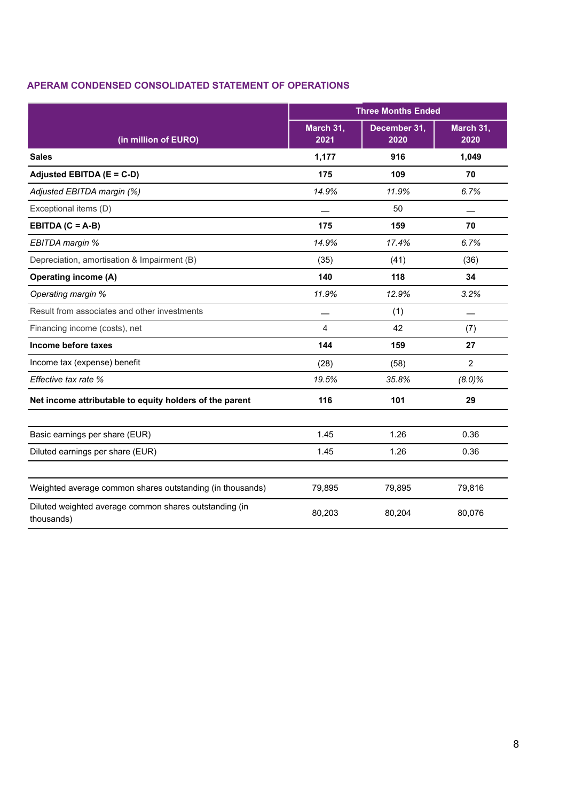## **APERAM CONDENSED CONSOLIDATED STATEMENT OF OPERATIONS**

|                                                                      | <b>Three Months Ended</b> |                      |                   |
|----------------------------------------------------------------------|---------------------------|----------------------|-------------------|
| (in million of EURO)                                                 | March 31,<br>2021         | December 31,<br>2020 | March 31,<br>2020 |
| <b>Sales</b>                                                         | 1,177                     | 916                  | 1,049             |
| Adjusted EBITDA (E = C-D)                                            | 175                       | 109                  | 70                |
| Adjusted EBITDA margin (%)                                           | 14.9%                     | 11.9%                | 6.7%              |
| Exceptional items (D)                                                |                           | 50                   |                   |
| EBITDA $(C = A-B)$                                                   | 175                       | 159                  | 70                |
| EBITDA margin %                                                      | 14.9%                     | 17.4%                | 6.7%              |
| Depreciation, amortisation & Impairment (B)                          | (35)                      | (41)                 | (36)              |
| <b>Operating income (A)</b>                                          | 140                       | 118                  | 34                |
| Operating margin %                                                   | 11.9%                     | 12.9%                | 3.2%              |
| Result from associates and other investments                         |                           | (1)                  |                   |
| Financing income (costs), net                                        | 4                         | 42                   | (7)               |
| Income before taxes                                                  | 144                       | 159                  | 27                |
| Income tax (expense) benefit                                         | (28)                      | (58)                 | 2                 |
| Effective tax rate %                                                 | 19.5%                     | 35.8%                | $(8.0)$ %         |
| Net income attributable to equity holders of the parent              | 116                       | 101                  | 29                |
| Basic earnings per share (EUR)                                       | 1.45                      | 1.26                 | 0.36              |
| Diluted earnings per share (EUR)                                     | 1.45                      | 1.26                 | 0.36              |
|                                                                      |                           |                      |                   |
| Weighted average common shares outstanding (in thousands)            | 79,895                    | 79,895               | 79,816            |
| Diluted weighted average common shares outstanding (in<br>thousands) | 80,203                    | 80,204               | 80,076            |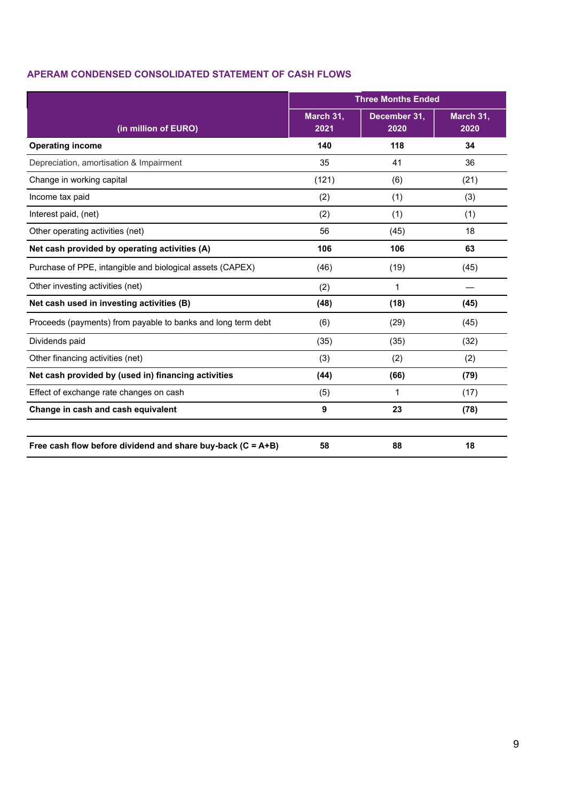## **APERAM CONDENSED CONSOLIDATED STATEMENT OF CASH FLOWS**

|                                                               | <b>Three Months Ended</b> |                      |                   |
|---------------------------------------------------------------|---------------------------|----------------------|-------------------|
| (in million of EURO)                                          | March 31,<br>2021         | December 31,<br>2020 | March 31,<br>2020 |
| <b>Operating income</b>                                       | 140                       | 118                  | 34                |
| Depreciation, amortisation & Impairment                       | 35                        | 41                   | 36                |
| Change in working capital                                     | (121)                     | (6)                  | (21)              |
| Income tax paid                                               | (2)                       | (1)                  | (3)               |
| Interest paid, (net)                                          | (2)                       | (1)                  | (1)               |
| Other operating activities (net)                              | 56                        | (45)                 | 18                |
| Net cash provided by operating activities (A)                 | 106                       | 106                  | 63                |
| Purchase of PPE, intangible and biological assets (CAPEX)     | (46)                      | (19)                 | (45)              |
| Other investing activities (net)                              | (2)                       | $\mathbf{1}$         |                   |
| Net cash used in investing activities (B)                     | (48)                      | (18)                 | (45)              |
| Proceeds (payments) from payable to banks and long term debt  | (6)                       | (29)                 | (45)              |
| Dividends paid                                                | (35)                      | (35)                 | (32)              |
| Other financing activities (net)                              | (3)                       | (2)                  | (2)               |
| Net cash provided by (used in) financing activities           | (44)                      | (66)                 | (79)              |
| Effect of exchange rate changes on cash                       | (5)                       | 1                    | (17)              |
| Change in cash and cash equivalent                            | 9                         | 23                   | (78)              |
| Free cash flow before dividend and share buy-back $(C = A+B)$ | 58                        | 88                   | 18                |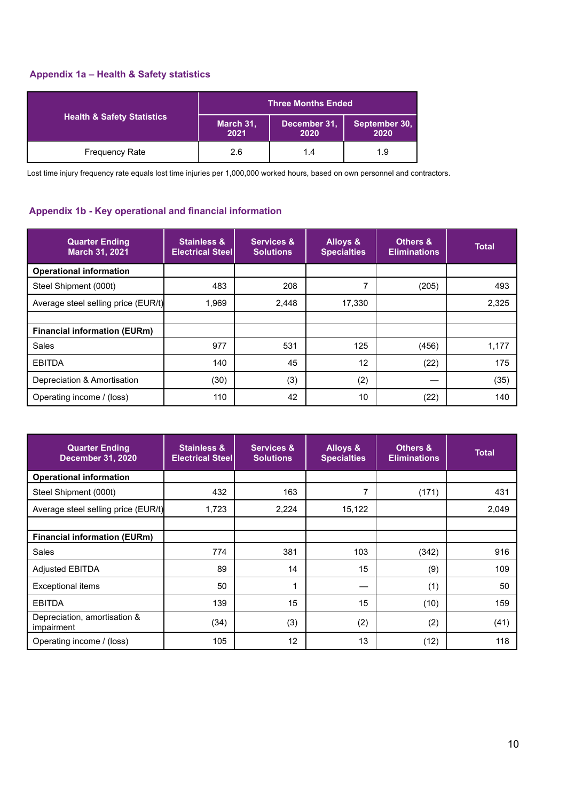## **Appendix 1a – Health & Safety statistics**

|                                       | <b>Three Months Ended</b> |                      |                       |  |
|---------------------------------------|---------------------------|----------------------|-----------------------|--|
| <b>Health &amp; Safety Statistics</b> | March 31,<br>2021         | December 31,<br>2020 | September 30,<br>2020 |  |
| <b>Frequency Rate</b>                 | 2.6                       | 1.4                  | 1.9                   |  |

Lost time injury frequency rate equals lost time injuries per 1,000,000 worked hours, based on own personnel and contractors.

## **Appendix 1b - Key operational and financial information**

| <b>Quarter Ending</b><br>March 31, 2021 | <b>Stainless &amp;</b><br><b>Electrical Steell</b> | <b>Services &amp;</b><br><b>Solutions</b> | Alloys &<br><b>Specialties</b> | Others &<br><b>Eliminations</b> | <b>Total</b> |
|-----------------------------------------|----------------------------------------------------|-------------------------------------------|--------------------------------|---------------------------------|--------------|
| <b>Operational information</b>          |                                                    |                                           |                                |                                 |              |
| Steel Shipment (000t)                   | 483                                                | 208                                       | ⇁                              | (205)                           | 493          |
| Average steel selling price (EUR/t)     | 1,969                                              | 2,448                                     | 17,330                         |                                 | 2,325        |
|                                         |                                                    |                                           |                                |                                 |              |
| <b>Financial information (EURm)</b>     |                                                    |                                           |                                |                                 |              |
| Sales                                   | 977                                                | 531                                       | 125                            | (456)                           | 1,177        |
| <b>EBITDA</b>                           | 140                                                | 45                                        | 12                             | (22)                            | 175          |
| Depreciation & Amortisation             | (30)                                               | (3)                                       | (2)                            |                                 | (35)         |
| Operating income / (loss)               | 110                                                | 42                                        | 10                             | (22)                            | 140          |

| <b>Quarter Ending</b><br><b>December 31, 2020</b> | <b>Stainless &amp;</b><br><b>Electrical Steel</b> | <b>Services &amp;</b><br><b>Solutions</b> | <b>Alloys &amp;</b><br><b>Specialties</b> | <b>Others &amp;</b><br><b>Eliminations</b> | <b>Total</b> |
|---------------------------------------------------|---------------------------------------------------|-------------------------------------------|-------------------------------------------|--------------------------------------------|--------------|
| <b>Operational information</b>                    |                                                   |                                           |                                           |                                            |              |
| Steel Shipment (000t)                             | 432                                               | 163                                       | 7                                         | (171)                                      | 431          |
| Average steel selling price (EUR/t)               | 1,723                                             | 2,224                                     | 15,122                                    |                                            | 2,049        |
|                                                   |                                                   |                                           |                                           |                                            |              |
| <b>Financial information (EURm)</b>               |                                                   |                                           |                                           |                                            |              |
| Sales                                             | 774                                               | 381                                       | 103                                       | (342)                                      | 916          |
| <b>Adjusted EBITDA</b>                            | 89                                                | 14                                        | 15                                        | (9)                                        | 109          |
| Exceptional items                                 | 50                                                |                                           |                                           | (1)                                        | 50           |
| <b>EBITDA</b>                                     | 139                                               | 15                                        | 15                                        | (10)                                       | 159          |
| Depreciation, amortisation &<br>impairment        | (34)                                              | (3)                                       | (2)                                       | (2)                                        | (41)         |
| Operating income / (loss)                         | 105                                               | 12                                        | 13                                        | (12)                                       | 118          |